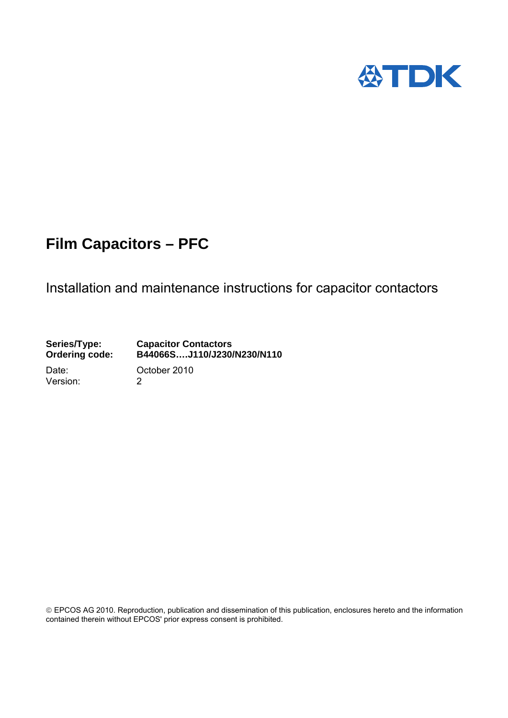

# Installation and maintenance instructions for capacitor contactors

**Series/Type: Capacitor Contactors Ordering code: B44066S….J110/J230/N230/N110**  Date: October 2010 Version: 2

 EPCOS AG 2010. Reproduction, publication and dissemination of this publication, enclosures hereto and the information contained therein without EPCOS' prior express consent is prohibited.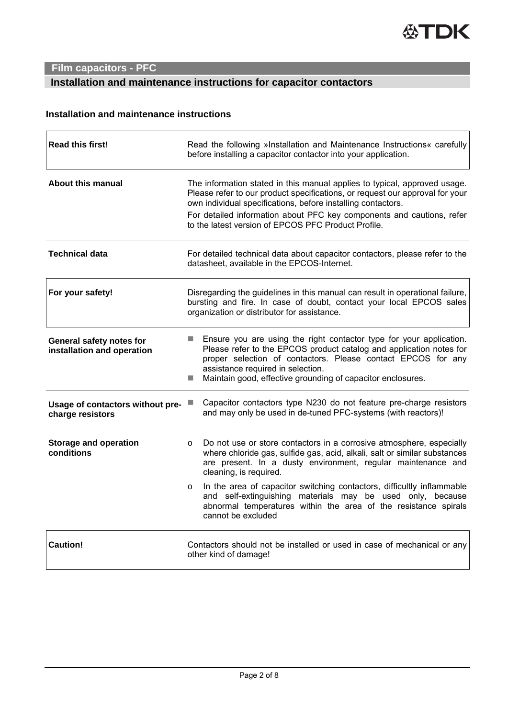# **Installation and maintenance instructions for capacitor contactors**

## **Installation and maintenance instructions**

| <b>Read this first!</b>                                | Read the following »Installation and Maintenance Instructions« carefully<br>before installing a capacitor contactor into your application.                                                                                                                                                                                        |  |  |  |  |  |
|--------------------------------------------------------|-----------------------------------------------------------------------------------------------------------------------------------------------------------------------------------------------------------------------------------------------------------------------------------------------------------------------------------|--|--|--|--|--|
| <b>About this manual</b>                               | The information stated in this manual applies to typical, approved usage.<br>Please refer to our product specifications, or request our approval for your<br>own individual specifications, before installing contactors.                                                                                                         |  |  |  |  |  |
|                                                        | For detailed information about PFC key components and cautions, refer<br>to the latest version of EPCOS PFC Product Profile.                                                                                                                                                                                                      |  |  |  |  |  |
| <b>Technical data</b>                                  | For detailed technical data about capacitor contactors, please refer to the<br>datasheet, available in the EPCOS-Internet.                                                                                                                                                                                                        |  |  |  |  |  |
| For your safety!                                       | Disregarding the guidelines in this manual can result in operational failure,<br>bursting and fire. In case of doubt, contact your local EPCOS sales<br>organization or distributor for assistance.                                                                                                                               |  |  |  |  |  |
| General safety notes for<br>installation and operation | Ensure you are using the right contactor type for your application.<br><b>Contract</b><br>Please refer to the EPCOS product catalog and application notes for<br>proper selection of contactors. Please contact EPCOS for any<br>assistance required in selection.<br>Maintain good, effective grounding of capacitor enclosures. |  |  |  |  |  |
| Usage of contactors without pre-<br>charge resistors   | Capacitor contactors type N230 do not feature pre-charge resistors<br>ш<br>and may only be used in de-tuned PFC-systems (with reactors)!                                                                                                                                                                                          |  |  |  |  |  |
| <b>Storage and operation</b><br>conditions             | Do not use or store contactors in a corrosive atmosphere, especially<br>$\circ$<br>where chloride gas, sulfide gas, acid, alkali, salt or similar substances<br>are present. In a dusty environment, regular maintenance and<br>cleaning, is required.                                                                            |  |  |  |  |  |
|                                                        | In the area of capacitor switching contactors, difficultly inflammable<br>$\circ$<br>and self-extinguishing materials may be used only, because<br>abnormal temperatures within the area of the resistance spirals<br>cannot be excluded                                                                                          |  |  |  |  |  |
| <b>Caution!</b>                                        | Contactors should not be installed or used in case of mechanical or any<br>other kind of damage!                                                                                                                                                                                                                                  |  |  |  |  |  |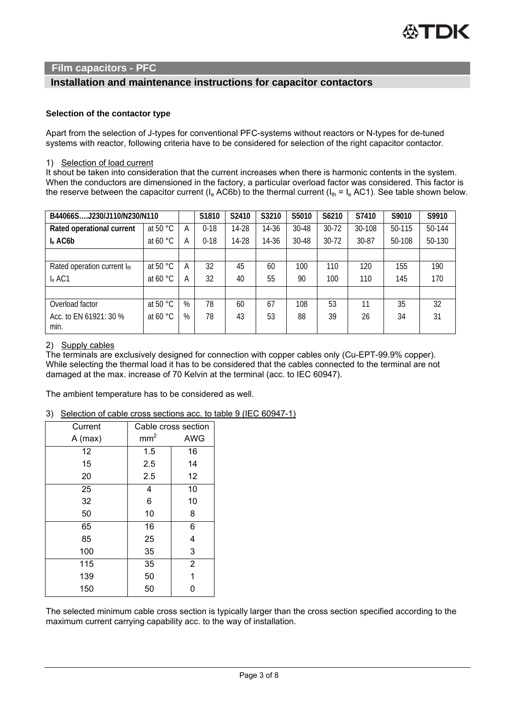### **Installation and maintenance instructions for capacitor contactors**

#### **Selection of the contactor type**

Apart from the selection of J-types for conventional PFC-systems without reactors or N-types for de-tuned systems with reactor, following criteria have to be considered for selection of the right capacitor contactor.

#### 1) Selection of load current

It shout be taken into consideration that the current increases when there is harmonic contents in the system. When the conductors are dimensioned in the factory, a particular overload factor was considered. This factor is the reserve between the capacitor current ( $I_e$  AC6b) to the thermal current ( $I_{th}$  =  $I_e$  AC1). See table shown below.

| B44066SJ230/J110/N230/N110     |                   |   | S1810    | S2410 | S3210 | S5010     | S6210     | S7410  | S9010  | S9910  |
|--------------------------------|-------------------|---|----------|-------|-------|-----------|-----------|--------|--------|--------|
| Rated operational current      | at 50 $\degree$ C | А | $0 - 18$ | 14-28 | 14-36 | 30-48     | $30 - 72$ | 30-108 | 50-115 | 50-144 |
| I <sub>e</sub> AC6b            | at 60 $\degree$ C | A | $0 - 18$ | 14-28 | 14-36 | $30 - 48$ | $30 - 72$ | 30-87  | 50-108 | 50-130 |
|                                |                   |   |          |       |       |           |           |        |        |        |
| Rated operation current Ith    | at 50 °C          | A | 32       | 45    | 60    | 100       | 110       | 120    | 155    | 190    |
| I <sub>e</sub> AC1             | at 60 $\degree$ C | А | 32       | 40    | 55    | 90        | 100       | 110    | 145    | 170    |
|                                |                   |   |          |       |       |           |           |        |        |        |
| Overload factor                | at 50 °C          | % | 78       | 60    | 67    | 108       | 53        | 11     | 35     | 32     |
| Acc. to EN 61921: 30 %<br>min. | at 60 $\degree$ C | % | 78       | 43    | 53    | 88        | 39        | 26     | 34     | 31     |

#### 2) Supply cables

The terminals are exclusively designed for connection with copper cables only (Cu-EPT-99.9% copper). While selecting the thermal load it has to be considered that the cables connected to the terminal are not damaged at the max. increase of 70 Kelvin at the terminal (acc. to IEC 60947).

The ambient temperature has to be considered as well.

#### 3) Selection of cable cross sections acc. to table 9 (IEC 60947-1)

| Current   |                 | Cable cross section |
|-----------|-----------------|---------------------|
| $A$ (max) | mm <sup>2</sup> | <b>AWG</b>          |
| 12        | 1.5             | 16                  |
| 15        | 2.5             | 14                  |
| 20        | 2.5             | 12                  |
| 25        | 4               | 10                  |
| 32        | 6               | 10                  |
| 50        | 10              | 8                   |
| 65        | 16              | 6                   |
| 85        | 25              | 4                   |
| 100       | 35              | 3                   |
| 115       | 35              | $\overline{2}$      |
| 139       | 50              | 1                   |
| 150       | 50              | 0                   |

The selected minimum cable cross section is typically larger than the cross section specified according to the maximum current carrying capability acc. to the way of installation.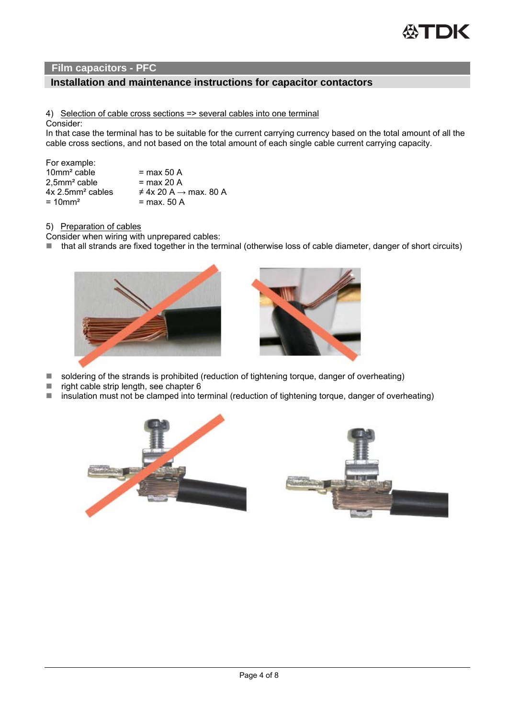## **Installation and maintenance instructions for capacitor contactors**

#### 4) Selection of cable cross sections => several cables into one terminal

Consider:

In that case the terminal has to be suitable for the current carrying currency based on the total amount of all the cable cross sections, and not based on the total amount of each single cable current carrying capacity.

| For example:                   |                                        |
|--------------------------------|----------------------------------------|
| 10mm <sup>2</sup> cable        | $=$ max 50 A                           |
| $2,5$ mm <sup>2</sup> cable    | $=$ max 20 A                           |
| $4x$ 2.5mm <sup>2</sup> cables | $\neq$ 4x 20 A $\rightarrow$ max, 80 A |
| $= 10$ mm <sup>2</sup>         | = max. 50 A                            |
|                                |                                        |

#### 5) Preparation of cables

- Consider when wiring with unprepared cables:
- that all strands are fixed together in the terminal (otherwise loss of cable diameter, danger of short circuits)





- soldering of the strands is prohibited (reduction of tightening torque, danger of overheating)
- right cable strip length, see chapter  $6$
- insulation must not be clamped into terminal (reduction of tightening torque, danger of overheating)

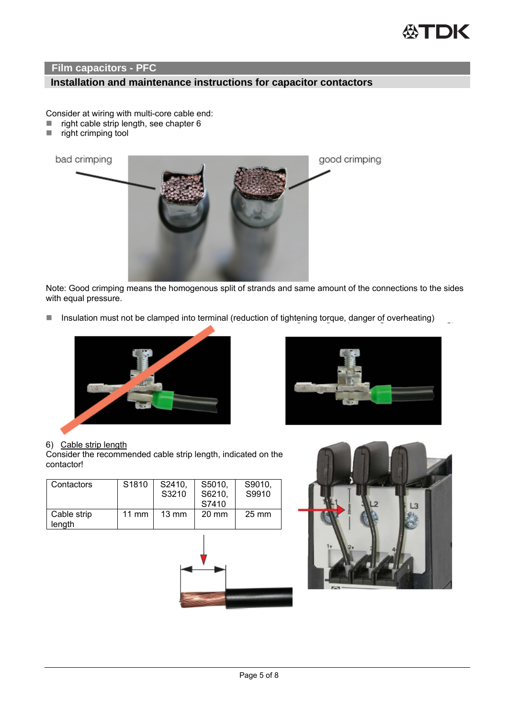

# **Installation and maintenance instructions for capacitor contactors**

Consider at wiring with multi-core cable end:

- $\blacksquare$  right cable strip length, see chapter 6
- $\blacksquare$  right crimping tool



 Note: Good crimping means the homogenous split of strands and same amount of the connections to the sides with equal pressure.

■ Insulation must not be clamped into terminal (reduction of tightening torque, danger of overheating)



#### 6) Cable strip length

Consider the recommended cable strip length, indicated on the contactor!

| Contactors            | S1810           | S2410,<br>S3210 | S5010.<br>S6210,<br>S7410 | S9010,<br>S9910 |
|-----------------------|-----------------|-----------------|---------------------------|-----------------|
| Cable strip<br>length | $11 \text{ mm}$ | $13 \text{ mm}$ | $20 \text{ mm}$           | $25 \text{ mm}$ |



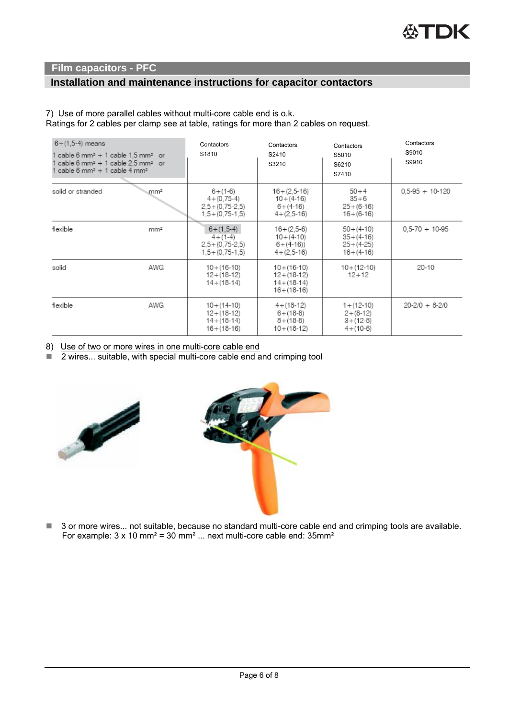# **Installation and maintenance instructions for capacitor contactors**

#### 7) Use of more parallel cables without multi-core cable end is o.k.

Ratings for 2 cables per clamp see at table, ratings for more than 2 cables on request.

| $6 + (1, 5-4)$ means<br>cable 6 mm <sup>2</sup> + 1 cable 1,5 mm <sup>2</sup> or<br>cable 6 mm <sup>2</sup> + 1 cable 2.5 mm <sup>2</sup> or<br>cable 6 mm <sup>2</sup> + 1 cable 4 mm <sup>2</sup> |                 | Contactors<br>S1810                                                          | Contactors<br>S2410<br>S3210                                               | Contactors<br>S5010<br>S6210<br>S7410                            | Contactors<br>S9010<br>S9910 |
|-----------------------------------------------------------------------------------------------------------------------------------------------------------------------------------------------------|-----------------|------------------------------------------------------------------------------|----------------------------------------------------------------------------|------------------------------------------------------------------|------------------------------|
| solid or stranded                                                                                                                                                                                   | mm <sup>2</sup> | $6 + (1-6)$<br>$4 + (0.75-4)$<br>$2,5+(0,75-2,5)$<br>$1,5 + (0,75-1,5)$      | $16 + (2.5 - 16)$<br>$10 + (4-16)$<br>$6 + (4-16)$<br>$4 + (2, 5 - 16)$    | $50 + 4$<br>$35 + 6$<br>$25 + (6-16)$<br>$16 + (6-16)$           | $0.5-95 + 10-120$            |
| flexible                                                                                                                                                                                            | mm <sup>2</sup> | $6 + (1, 5-4)$<br>$4 + (1-4)$<br>$2,5 + (0,75-2,5)$<br>$1, 5 + (0.75 - 1.5)$ | $16 + (2.5-6)$<br>$10 + (4-10)$<br>$6+(4-16)$<br>$4 + (2.5 - 16)$          | $50 + (4-10)$<br>$35 + (4-16)$<br>$25 + (4-25)$<br>$16 + (4-16)$ | $0.5 - 70 + 10 - 95$         |
| solid                                                                                                                                                                                               | AWG             | $10 + (16 - 10)$<br>$12 + (18 - 12)$<br>$14 + (18-14)$                       | $10 + (16 - 10)$<br>$12 + (18 - 12)$<br>$14 + (18-14)$<br>$16 + (18 - 16)$ | $10 + (12 - 10)$<br>$12+12$                                      | 20-10                        |
| flexible                                                                                                                                                                                            | AWG             | $10 + (14 - 10)$<br>$12 + (18 - 12)$<br>$14 + (18-14)$<br>$16 + (18 - 16)$   | $4 + (18 - 12)$<br>$6 + (18-8)$<br>$8 + (18-8)$<br>$10 + (18 - 12)$        | $1 + (12 - 10)$<br>$2+(8-12)$<br>$3+(12-8)$<br>$4 + (10-6)$      | $20 - 2/0 + 8 - 2/0$         |

8) Use of two or more wires in one multi-core cable end

 $\overline{2}$  wires... suitable, with special multi-core cable end and crimping tool





■ 3 or more wires... not suitable, because no standard multi-core cable end and crimping tools are available. For example: 3 x 10 mm<sup>2</sup> = 30 mm<sup>2</sup> ... next multi-core cable end: 35mm<sup>2</sup>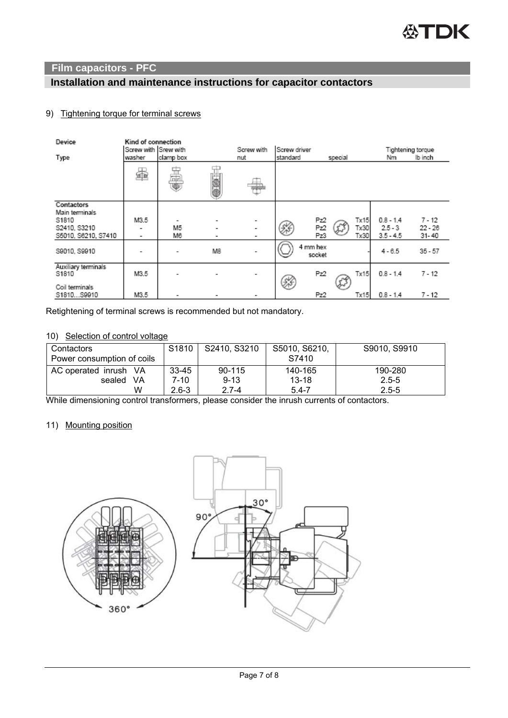# **Installation and maintenance instructions for capacitor contactors**

### 9) Tightening torque for terminal screws

| Device                                                                       | Kind of connection<br>Screw with Srew with<br>Screw driver<br>Screw with<br>Tightening torque |           |        |             |          |                    |         |                      |                                         |                                |
|------------------------------------------------------------------------------|-----------------------------------------------------------------------------------------------|-----------|--------|-------------|----------|--------------------|---------|----------------------|-----------------------------------------|--------------------------------|
| Type                                                                         | washer                                                                                        | clamp box |        | nut         | standard |                    | special |                      | Nm                                      | lb inch                        |
|                                                                              | §                                                                                             | HU)       |        |             |          |                    |         |                      |                                         |                                |
| Contactors<br>Main terminals<br>S1810<br>S2410, S3210<br>S5010, S6210, S7410 | M3.5<br>۰<br>۰                                                                                | M5<br>Mв  | ۰<br>۰ | ۰<br>۰<br>۰ | 銤        | Pz2<br>Pz2<br>Pz3  |         | Tx15<br>Tx30<br>Tx30 | $0.8 - 1.4$<br>$2.5 - 3$<br>$3.5 - 4.5$ | $7 - 12$<br>$22 - 26$<br>31-40 |
| S9010, S9910                                                                 | ۰                                                                                             |           | M8     |             |          | 4 mm hex<br>socket |         |                      | $4 - 6.5$                               | $35 - 57$                      |
| Auxiliary terminals<br>S1810                                                 | M3.5                                                                                          |           |        | ۰           | Ñ        | Pz2                | చి      | Tx15                 | $0.8 - 1.4$                             | $7 - 12$                       |
| Coil terminals<br>S1810S9910                                                 | M3.5                                                                                          |           | -      |             |          | Pz2                |         | Tx15                 | $0.8 - 1.4$                             | $7 - 12$                       |

Retightening of terminal screws is recommended but not mandatory.

#### 10) Selection of control voltage

| Contactors<br>Power consumption of coils | S <sub>1810</sub> | S2410, S3210 | S5010, S6210,<br>S7410 | S9010, S9910 |
|------------------------------------------|-------------------|--------------|------------------------|--------------|
| AC operated inrush VA                    | $33 - 45$         | 90-115       | 140-165                | 190-280      |
| VA<br>sealed                             | 7-10              | $9 - 13$     | $13 - 18$              | $2.5 - 5$    |
| W                                        | $2.6 - 3$         | $2.7 - 4$    | $5.4 - 7$              | $2.5 - 5$    |

While dimensioning control transformers, please consider the inrush currents of contactors.

### 11) Mounting position